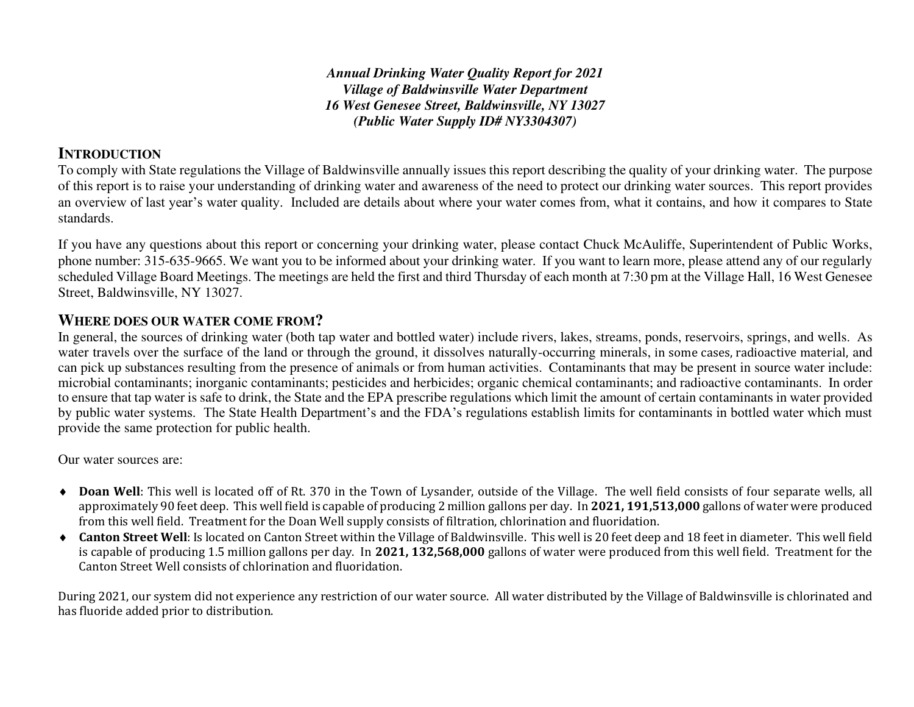*Annual Drinking Water Quality Report for 2021 Village of Baldwinsville Water Department 16 West Genesee Street, Baldwinsville, NY 13027 (Public Water Supply ID# NY3304307)*

# **INTRODUCTION**

To comply with State regulations the Village of Baldwinsville annually issues this report describing the quality of your drinking water. The purpose of this report is to raise your understanding of drinking water and awareness of the need to protect our drinking water sources. This report provides an overview of last year's water quality. Included are details about where your water comes from, what it contains, and how it compares to State standards.

If you have any questions about this report or concerning your drinking water, please contact Chuck McAuliffe, Superintendent of Public Works, phone number: 315-635-9665. We want you to be informed about your drinking water. If you want to learn more, please attend any of our regularly scheduled Village Board Meetings. The meetings are held the first and third Thursday of each month at 7:30 pm at the Village Hall, 16 West Genesee Street, Baldwinsville, NY 13027.

# **WHERE DOES OUR WATER COME FROM?**

In general, the sources of drinking water (both tap water and bottled water) include rivers, lakes, streams, ponds, reservoirs, springs, and wells. As water travels over the surface of the land or through the ground, it dissolves naturally-occurring minerals, in some cases, radioactive material, and can pick up substances resulting from the presence of animals or from human activities. Contaminants that may be present in source water include: microbial contaminants; inorganic contaminants; pesticides and herbicides; organic chemical contaminants; and radioactive contaminants. In order to ensure that tap water is safe to drink, the State and the EPA prescribe regulations which limit the amount of certain contaminants in water provided by public water systems. The State Health Department's and the FDA's regulations establish limits for contaminants in bottled water which must provide the same protection for public health.

Our water sources are:

- ◆ **Doan Well**: This well is located off of Rt. 370 in the Town of Lysander, outside of the Village. The well field consists of four separate wells, all approximately 90 feet deep. This well field is capable of producing 2 million gallons per day. In **2021, 191,513,000** gallons of water were produced from this well field. Treatment for the Doan Well supply consists of filtration, chlorination and fluoridation.
- **Canton Street Well**: Is located on Canton Street within the Village of Baldwinsville. This well is 20 feet deep and 18 feet in diameter. This well field is capable of producing 1.5 million gallons per day. In **2021, 132,568,000** gallons of water were produced from this well field. Treatment for the Canton Street Well consists of chlorination and fluoridation.

During 2021, our system did not experience any restriction of our water source. All water distributed by the Village of Baldwinsville is chlorinated and has fluoride added prior to distribution.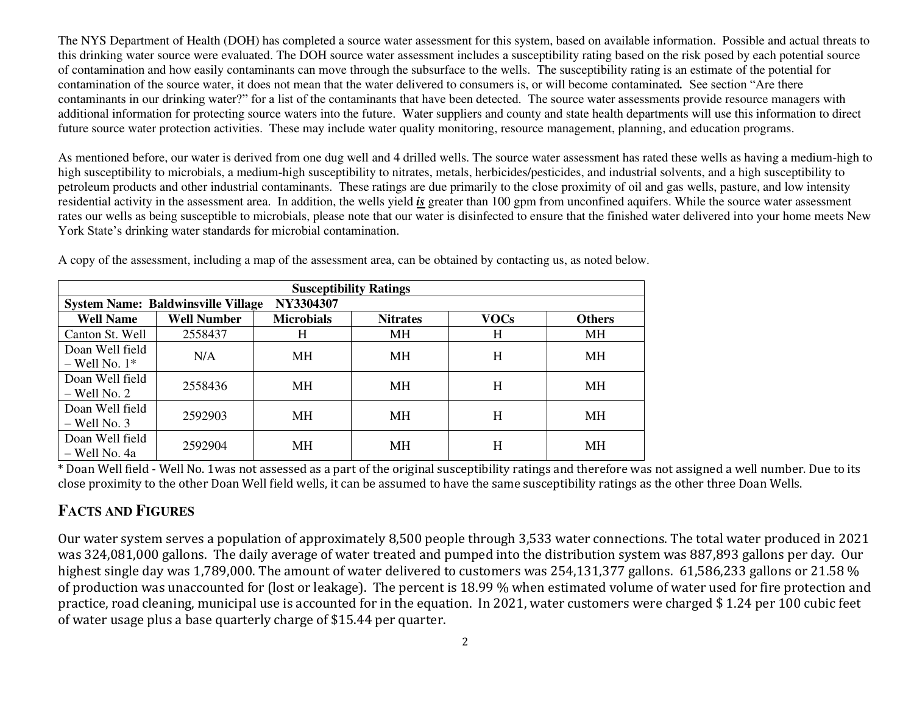The NYS Department of Health (DOH) has completed a source water assessment for this system, based on available information. Possible and actual threats to this drinking water source were evaluated. The DOH source water assessment includes a susceptibility rating based on the risk posed by each potential source of contamination and how easily contaminants can move through the subsurface to the wells. The susceptibility rating is an estimate of the potential for contamination of the source water, it does not mean that the water delivered to consumers is, or will become contaminated*.* See section "Are there contaminants in our drinking water?" for a list of the contaminants that have been detected. The source water assessments provide resource managers with additional information for protecting source waters into the future. Water suppliers and county and state health departments will use this information to direct future source water protection activities. These may include water quality monitoring, resource management, planning, and education programs.

As mentioned before, our water is derived from one dug well and 4 drilled wells. The source water assessment has rated these wells as having a medium-high to high susceptibility to microbials, a medium-high susceptibility to nitrates, metals, herbicides/pesticides, and industrial solvents, and a high susceptibility to petroleum products and other industrial contaminants. These ratings are due primarily to the close proximity of oil and gas wells, pasture, and low intensity residential activity in the assessment area. In addition, the wells yield *is* greater than 100 gpm from unconfined aquifers. While the source water assessment rates our wells as being susceptible to microbials, please note that our water is disinfected to ensure that the finished water delivered into your home meets New York State's drinking water standards for microbial contamination.

| <b>Susceptibility Ratings</b>                          |                    |                   |                 |             |               |  |  |  |  |
|--------------------------------------------------------|--------------------|-------------------|-----------------|-------------|---------------|--|--|--|--|
| NY3304307<br><b>System Name: Baldwinsville Village</b> |                    |                   |                 |             |               |  |  |  |  |
| <b>Well Name</b>                                       | <b>Well Number</b> | <b>Microbials</b> | <b>Nitrates</b> | <b>VOCs</b> | <b>Others</b> |  |  |  |  |
| Canton St. Well                                        | 2558437            | H                 | MH              | H           | <b>MH</b>     |  |  |  |  |
| Doan Well field<br>$-$ Well No. $1*$                   | N/A                | <b>MH</b>         | МH              | H           | <b>MH</b>     |  |  |  |  |
| Doan Well field<br>$-$ Well No. 2                      | 2558436            | MН                | MH              | H           | <b>MH</b>     |  |  |  |  |
| Doan Well field<br>$-$ Well No. 3                      | 2592903            | MH                | MH              | H           | MН            |  |  |  |  |
| Doan Well field<br>– Well No. 4a                       | 2592904            | MН                | MН              | Н           | <b>MH</b>     |  |  |  |  |

A copy of the assessment, including a map of the assessment area, can be obtained by contacting us, as noted below.

 $\overline{\text{*}$  Doan Well field - Well No. 1was not assessed as a part of the original susceptibility ratings and therefore was not assigned a well number. Due to its close proximity to the other Doan Well field wells, it can be assumed to have the same susceptibility ratings as the other three Doan Wells.

# **FACTS AND FIGURES**

Our water system serves a population of approximately 8,500 people through 3,533 water connections. The total water produced in 2021 was 324,081,000 gallons. The daily average of water treated and pumped into the distribution system was 887,893 gallons per day. Our highest single day was 1,789,000. The amount of water delivered to customers was 254,131,377 gallons. 61,586,233 gallons or 21.58 % of production was unaccounted for (lost or leakage). The percent is 18.99 % when estimated volume of water used for fire protection and practice, road cleaning, municipal use is accounted for in the equation. In 2021, water customers were charged \$ 1.24 per 100 cubic feet of water usage plus a base quarterly charge of \$15.44 per quarter.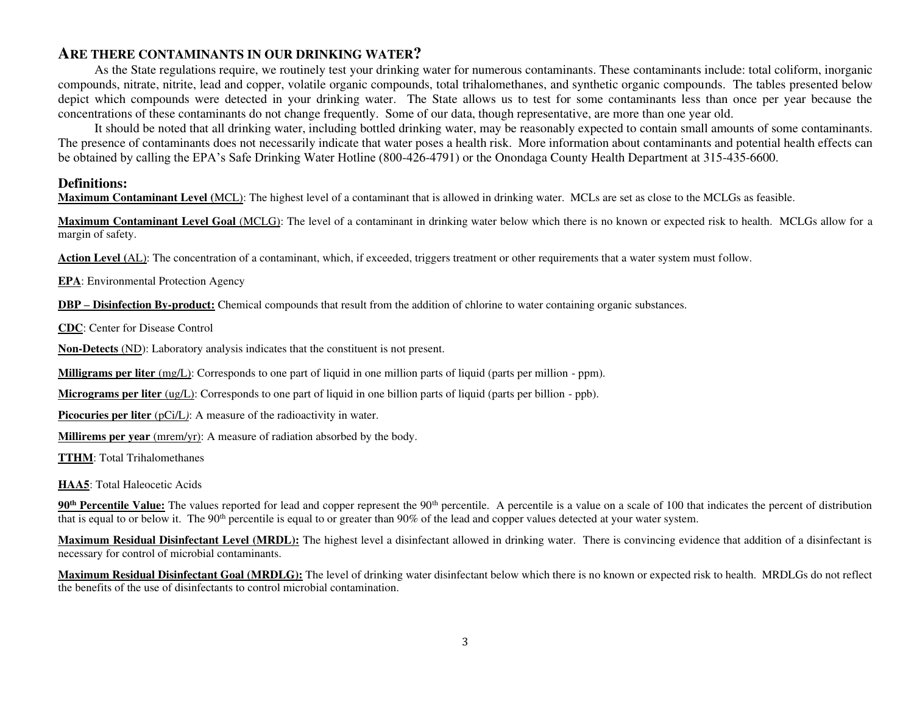#### **ARE THERE CONTAMINANTS IN OUR DRINKING WATER?**

 As the State regulations require, we routinely test your drinking water for numerous contaminants. These contaminants include: total coliform, inorganic compounds, nitrate, nitrite, lead and copper, volatile organic compounds, total trihalomethanes, and synthetic organic compounds. The tables presented below depict which compounds were detected in your drinking water. The State allows us to test for some contaminants less than once per year because the concentrations of these contaminants do not change frequently. Some of our data, though representative, are more than one year old.

 It should be noted that all drinking water, including bottled drinking water, may be reasonably expected to contain small amounts of some contaminants. The presence of contaminants does not necessarily indicate that water poses a health risk. More information about contaminants and potential health effects can be obtained by calling the EPA's Safe Drinking Water Hotline (800-426-4791) or the Onondaga County Health Department at 315-435-6600.

#### **Definitions:**

**Maximum Contaminant Level (**MCL): The highest level of a contaminant that is allowed in drinking water. MCLs are set as close to the MCLGs as feasible.

**Maximum Contaminant Level Goal** (MCLG): The level of a contaminant in drinking water below which there is no known or expected risk to health. MCLGs allow for a margin of safety.

**Action Level (**AL): The concentration of a contaminant, which, if exceeded, triggers treatment or other requirements that a water system must follow.

**EPA**: Environmental Protection Agency

**DBP – Disinfection By-product:** Chemical compounds that result from the addition of chlorine to water containing organic substances.

**CDC**: Center for Disease Control

**Non-Detects** (ND): Laboratory analysis indicates that the constituent is not present.

**Milligrams per liter** (mg/L): Corresponds to one part of liquid in one million parts of liquid (parts per million - ppm).

**Micrograms per liter** (ug/L): Corresponds to one part of liquid in one billion parts of liquid (parts per billion - ppb).

**Picocuries per liter** (pCi/L): A measure of the radioactivity in water.

**Millirems per year** (mrem/yr): A measure of radiation absorbed by the body.

**TTHM**: Total Trihalomethanes

**HAA5**: Total Haleocetic Acids

**90<sup>th</sup> Percentile Value:** The values reported for lead and copper represent the 90<sup>th</sup> percentile. A percentile is a value on a scale of 100 that indicates the percent of distribution that is equal to or below it. The 90<sup>th</sup> percentile is equal to or greater than 90% of the lead and copper values detected at your water system.

**Maximum Residual Disinfectant Level (MRDL):** The highest level a disinfectant allowed in drinking water. There is convincing evidence that addition of a disinfectant is necessary for control of microbial contaminants.

**Maximum Residual Disinfectant Goal (MRDLG):** The level of drinking water disinfectant below which there is no known or expected risk to health. MRDLGs do not reflect the benefits of the use of disinfectants to control microbial contamination.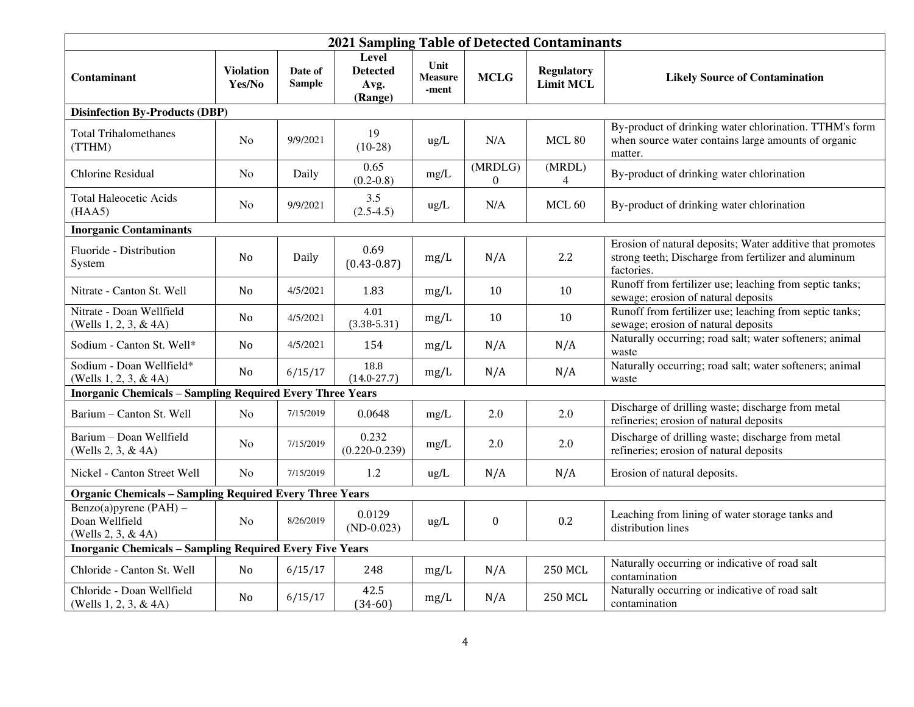| 2021 Sampling Table of Detected Contaminants                     |                            |                          |                                                    |                                 |                             |                                       |                                                                                                                                 |
|------------------------------------------------------------------|----------------------------|--------------------------|----------------------------------------------------|---------------------------------|-----------------------------|---------------------------------------|---------------------------------------------------------------------------------------------------------------------------------|
| Contaminant                                                      | <b>Violation</b><br>Yes/No | Date of<br><b>Sample</b> | <b>Level</b><br><b>Detected</b><br>Avg.<br>(Range) | Unit<br><b>Measure</b><br>-ment | <b>MCLG</b>                 | <b>Regulatory</b><br><b>Limit MCL</b> | <b>Likely Source of Contamination</b>                                                                                           |
| <b>Disinfection By-Products (DBP)</b>                            |                            |                          |                                                    |                                 |                             |                                       |                                                                                                                                 |
| <b>Total Trihalomethanes</b><br>(TTHM)                           | N <sub>0</sub>             | 9/9/2021                 | 19<br>$(10-28)$                                    | ug/L                            | N/A                         | MCL 80                                | By-product of drinking water chlorination. TTHM's form<br>when source water contains large amounts of organic<br>matter.        |
| <b>Chlorine Residual</b>                                         | N <sub>0</sub>             | Daily                    | 0.65<br>$(0.2 - 0.8)$                              | mg/L                            | (MRDLG)<br>$\boldsymbol{0}$ | (MRDL)<br>4                           | By-product of drinking water chlorination                                                                                       |
| Total Haleocetic Acids<br>(HAA5)                                 | N <sub>0</sub>             | 9/9/2021                 | 3.5<br>$(2.5-4.5)$                                 | ug/L                            | N/A                         | MCL <sub>60</sub>                     | By-product of drinking water chlorination                                                                                       |
| <b>Inorganic Contaminants</b>                                    |                            |                          |                                                    |                                 |                             |                                       |                                                                                                                                 |
| Fluoride - Distribution<br>System                                | N <sub>0</sub>             | Daily                    | 0.69<br>$(0.43 - 0.87)$                            | mg/L                            | N/A                         | 2.2                                   | Erosion of natural deposits; Water additive that promotes<br>strong teeth; Discharge from fertilizer and aluminum<br>factories. |
| Nitrate - Canton St. Well                                        | N <sub>o</sub>             | 4/5/2021                 | 1.83                                               | mg/L                            | 10                          | 10                                    | Runoff from fertilizer use; leaching from septic tanks;<br>sewage; erosion of natural deposits                                  |
| Nitrate - Doan Wellfield<br>(Wells 1, 2, 3, & 4A)                | No                         | 4/5/2021                 | 4.01<br>$(3.38 - 5.31)$                            | mg/L                            | 10                          | 10                                    | Runoff from fertilizer use; leaching from septic tanks;<br>sewage; erosion of natural deposits                                  |
| Sodium - Canton St. Well*                                        | No                         | 4/5/2021                 | 154                                                | mg/L                            | N/A                         | N/A                                   | Naturally occurring; road salt; water softeners; animal<br>waste                                                                |
| Sodium - Doan Wellfield*<br>(Wells 1, 2, 3, & 4A)                | No                         | 6/15/17                  | 18.8<br>$(14.0 - 27.7)$                            | mg/L                            | N/A                         | N/A                                   | Naturally occurring; road salt; water softeners; animal<br>waste                                                                |
| <b>Inorganic Chemicals - Sampling Required Every Three Years</b> |                            |                          |                                                    |                                 |                             |                                       |                                                                                                                                 |
| Barium - Canton St. Well                                         | N <sub>o</sub>             | 7/15/2019                | 0.0648                                             | mg/L                            | 2.0                         | 2.0                                   | Discharge of drilling waste; discharge from metal<br>refineries; erosion of natural deposits                                    |
| Barium - Doan Wellfield<br>(Wells 2, 3, & 4A)                    | No                         | 7/15/2019                | 0.232<br>$(0.220 - 0.239)$                         | mg/L                            | $2.0\,$                     | 2.0                                   | Discharge of drilling waste; discharge from metal<br>refineries; erosion of natural deposits                                    |
| Nickel - Canton Street Well                                      | N <sub>o</sub>             | 7/15/2019                | 1.2                                                | ug/L                            | N/A                         | N/A                                   | Erosion of natural deposits.                                                                                                    |
| <b>Organic Chemicals - Sampling Required Every Three Years</b>   |                            |                          |                                                    |                                 |                             |                                       |                                                                                                                                 |
| Benzo(a)pyrene (PAH) -<br>Doan Wellfield<br>(Wells 2, 3, & 4A)   | No                         | 8/26/2019                | 0.0129<br>$(ND-0.023)$                             | ug/L                            | $\boldsymbol{0}$            | 0.2                                   | Leaching from lining of water storage tanks and<br>distribution lines                                                           |
| <b>Inorganic Chemicals - Sampling Required Every Five Years</b>  |                            |                          |                                                    |                                 |                             |                                       |                                                                                                                                 |
| Chloride - Canton St. Well                                       | No                         | 6/15/17                  | 248                                                | mg/L                            | N/A                         | <b>250 MCL</b>                        | Naturally occurring or indicative of road salt<br>contamination                                                                 |
| Chloride - Doan Wellfield<br>(Wells 1, 2, 3, & 4A)               | No                         | 6/15/17                  | 42.5<br>$(34-60)$                                  | mg/L                            | N/A                         | <b>250 MCL</b>                        | Naturally occurring or indicative of road salt<br>contamination                                                                 |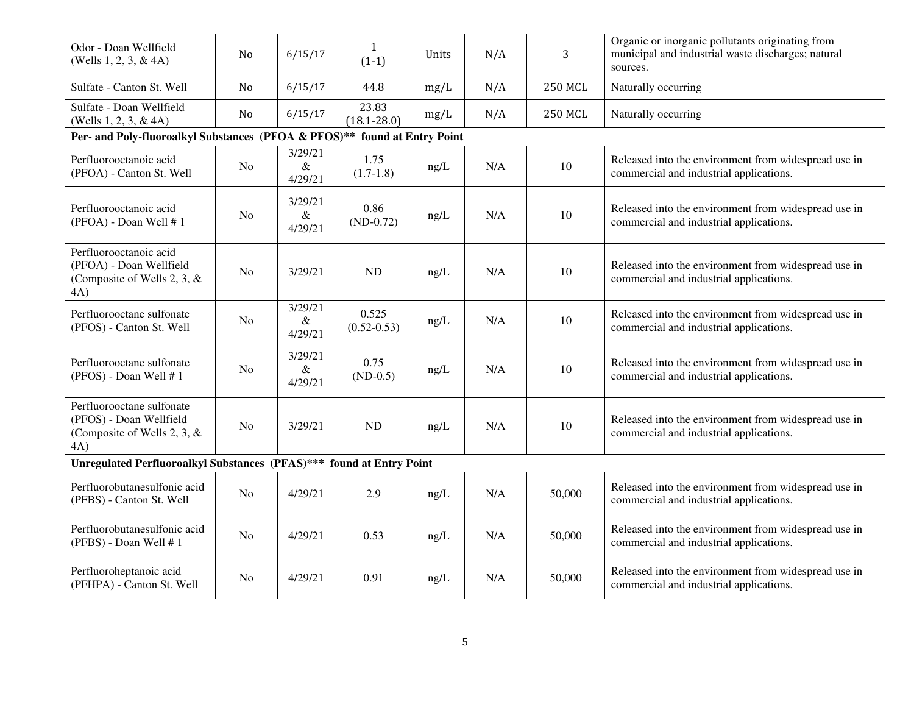| Odor - Doan Wellfield<br>(Wells $1, 2, 3, \& 4A$ )                                            | N <sub>o</sub> | 6/15/17                    | $\mathbf{1}$<br>$(1-1)$  | Units | N/A | 3              | Organic or inorganic pollutants originating from<br>municipal and industrial waste discharges; natural<br>sources. |  |
|-----------------------------------------------------------------------------------------------|----------------|----------------------------|--------------------------|-------|-----|----------------|--------------------------------------------------------------------------------------------------------------------|--|
| Sulfate - Canton St. Well                                                                     | N <sub>o</sub> | 6/15/17                    | 44.8                     | mg/L  | N/A | <b>250 MCL</b> | Naturally occurring                                                                                                |  |
| Sulfate - Doan Wellfield<br>(Wells 1, 2, 3, & 4A)                                             | N <sub>o</sub> | 6/15/17                    | 23.83<br>$(18.1 - 28.0)$ | mg/L  | N/A | <b>250 MCL</b> | Naturally occurring                                                                                                |  |
| Per- and Poly-fluoroalkyl Substances (PFOA & PFOS)** found at Entry Point                     |                |                            |                          |       |     |                |                                                                                                                    |  |
| Perfluorooctanoic acid<br>(PFOA) - Canton St. Well                                            | No             | 3/29/21<br>$\&$<br>4/29/21 | 1.75<br>$(1.7-1.8)$      | ng/L  | N/A | 10             | Released into the environment from widespread use in<br>commercial and industrial applications.                    |  |
| Perfluorooctanoic acid<br>(PFOA) - Doan Well #1                                               | No             | 3/29/21<br>$\&$<br>4/29/21 | 0.86<br>$(ND-0.72)$      | ng/L  | N/A | 10             | Released into the environment from widespread use in<br>commercial and industrial applications.                    |  |
| Perfluorooctanoic acid<br>(PFOA) - Doan Wellfield<br>(Composite of Wells 2, 3, $\&$<br>4A)    | N <sub>o</sub> | 3/29/21                    | ND                       | ng/L  | N/A | 10             | Released into the environment from widespread use in<br>commercial and industrial applications.                    |  |
| Perfluorooctane sulfonate<br>(PFOS) - Canton St. Well                                         | N <sub>o</sub> | 3/29/21<br>$\&$<br>4/29/21 | 0.525<br>$(0.52 - 0.53)$ | ng/L  | N/A | 10             | Released into the environment from widespread use in<br>commercial and industrial applications.                    |  |
| Perfluorooctane sulfonate<br>(PFOS) - Doan Well #1                                            | N <sub>0</sub> | 3/29/21<br>$\&$<br>4/29/21 | 0.75<br>$(ND-0.5)$       | ng/L  | N/A | 10             | Released into the environment from widespread use in<br>commercial and industrial applications.                    |  |
| Perfluorooctane sulfonate<br>(PFOS) - Doan Wellfield<br>(Composite of Wells 2, 3, $\&$<br>4A) | No             | 3/29/21                    | ND                       | ng/L  | N/A | 10             | Released into the environment from widespread use in<br>commercial and industrial applications.                    |  |
| Unregulated Perfluoroalkyl Substances (PFAS)*** found at Entry Point                          |                |                            |                          |       |     |                |                                                                                                                    |  |
| Perfluorobutanesulfonic acid<br>(PFBS) - Canton St. Well                                      | N <sub>0</sub> | 4/29/21                    | 2.9                      | ng/L  | N/A | 50,000         | Released into the environment from widespread use in<br>commercial and industrial applications.                    |  |
| Perfluorobutanesulfonic acid<br>(PFBS) - Doan Well #1                                         | N <sub>0</sub> | 4/29/21                    | 0.53                     | ng/L  | N/A | 50,000         | Released into the environment from widespread use in<br>commercial and industrial applications.                    |  |
| Perfluoroheptanoic acid<br>(PFHPA) - Canton St. Well                                          | No             | 4/29/21                    | 0.91                     | ng/L  | N/A | 50,000         | Released into the environment from widespread use in<br>commercial and industrial applications.                    |  |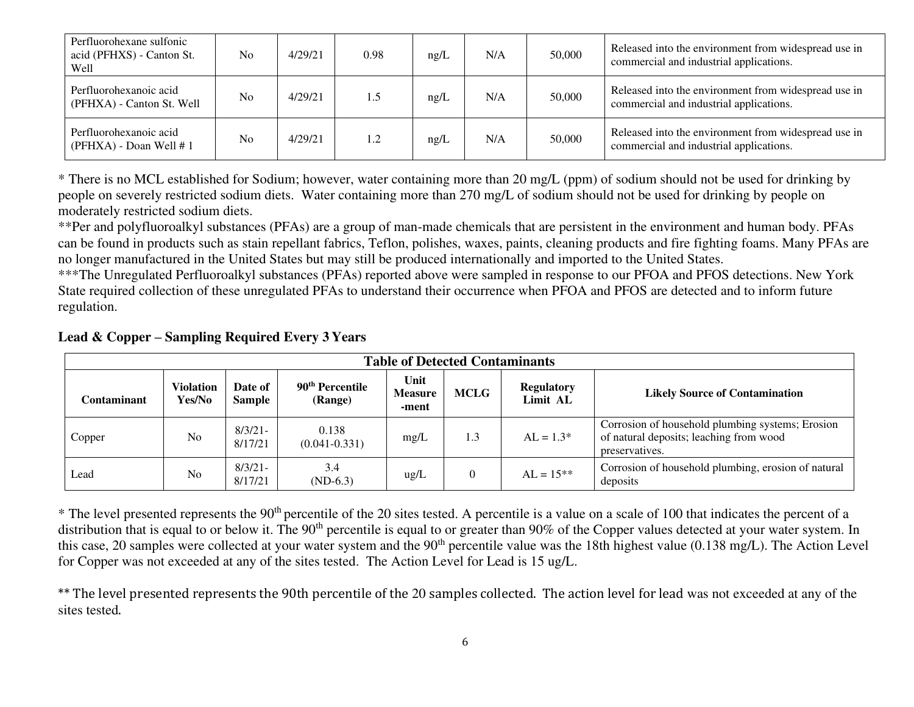| Perfluorohexane sulfonic<br>acid (PFHXS) - Canton St.<br>Well | N <sub>o</sub> | 4/29/21 | 0.98 | ng/L | N/A | 50,000 | Released into the environment from widespread use in<br>commercial and industrial applications. |
|---------------------------------------------------------------|----------------|---------|------|------|-----|--------|-------------------------------------------------------------------------------------------------|
| Perfluorohexanoic acid<br>(PFHXA) - Canton St. Well           | N <sub>o</sub> | 4/29/21 | 1.5  | ng/L | N/A | 50,000 | Released into the environment from widespread use in<br>commercial and industrial applications. |
| Perfluorohexanoic acid<br>(PFHXA) - Doan Well #1              | N <sub>o</sub> | 4/29/21 | 1.2  | ng/L | N/A | 50,000 | Released into the environment from widespread use in<br>commercial and industrial applications. |

\* There is no MCL established for Sodium; however, water containing more than 20 mg/L (ppm) of sodium should not be used for drinking by people on severely restricted sodium diets. Water containing more than 270 mg/L of sodium should not be used for drinking by people on moderately restricted sodium diets.

\*\*Per and polyfluoroalkyl substances (PFAs) are a group of man-made chemicals that are persistent in the environment and human body. PFAs can be found in products such as stain repellant fabrics, Teflon, polishes, waxes, paints, cleaning products and fire fighting foams. Many PFAs are no longer manufactured in the United States but may still be produced internationally and imported to the United States.

\*\*\*The Unregulated Perfluoroalkyl substances (PFAs) reported above were sampled in response to our PFOA and PFOS detections. New York State required collection of these unregulated PFAs to understand their occurrence when PFOA and PFOS are detected and to inform future regulation.

|             | <b>Table of Detected Contaminants</b> |                          |                                        |                                 |             |                               |                                                                                                               |  |  |  |
|-------------|---------------------------------------|--------------------------|----------------------------------------|---------------------------------|-------------|-------------------------------|---------------------------------------------------------------------------------------------------------------|--|--|--|
| Contaminant | <b>Violation</b><br>Yes/No            | Date of<br><b>Sample</b> | 90 <sup>th</sup> Percentile<br>(Range) | Unit<br><b>Measure</b><br>-ment | <b>MCLG</b> | <b>Regulatory</b><br>Limit AL | <b>Likely Source of Contamination</b>                                                                         |  |  |  |
| Copper      | N <sub>o</sub>                        | $8/3/21$ -<br>8/17/21    | 0.138<br>$(0.041 - 0.331)$             | mg/L                            | 1.3         | $AL = 1.3*$                   | Corrosion of household plumbing systems; Erosion<br>of natural deposits; leaching from wood<br>preservatives. |  |  |  |
| Lead        | N <sub>o</sub>                        | $8/3/21$ -<br>8/17/21    | 3.4<br>$(ND-6.3)$                      | $\text{ug/L}$                   | $\Omega$    | $AL = 15**$                   | Corrosion of household plumbing, erosion of natural<br>deposits                                               |  |  |  |

# **Lead & Copper – Sampling Required Every 3 Years**

 $*$  The level presented represents the 90<sup>th</sup> percentile of the 20 sites tested. A percentile is a value on a scale of 100 that indicates the percent of a distribution that is equal to or below it. The 90<sup>th</sup> percentile is equal to or greater than 90% of the Copper values detected at your water system. In this case, 20 samples were collected at your water system and the 90<sup>th</sup> percentile value was the 18th highest value (0.138 mg/L). The Action Level for Copper was not exceeded at any of the sites tested. The Action Level for Lead is 15 ug/L.

\*\* The level presented represents the 90th percentile of the 20 samples collected. The action level for lead was not exceeded at any of the sites tested.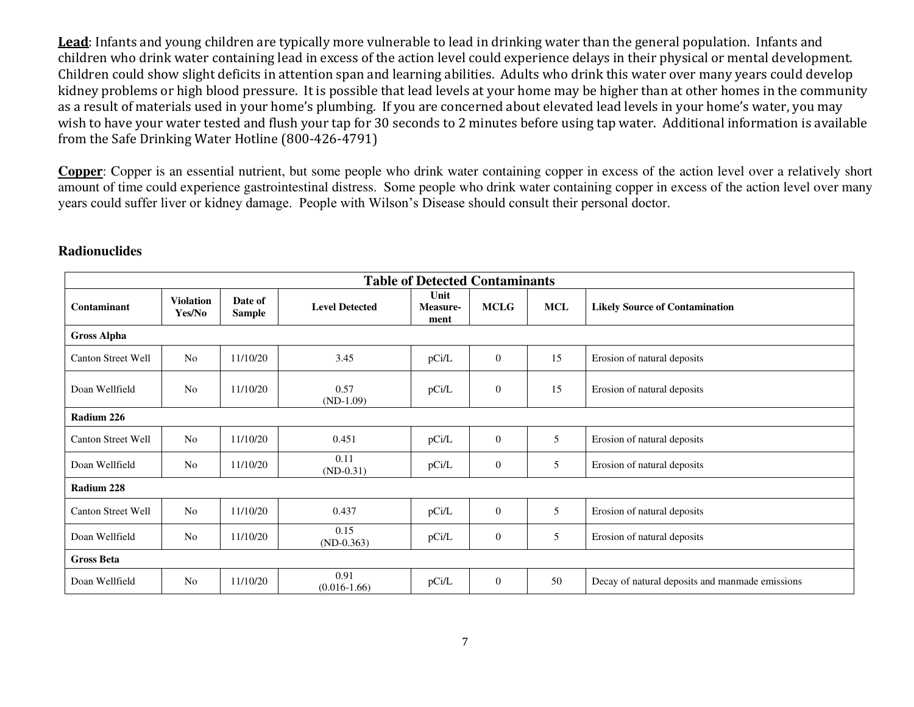**Lead**: Infants and young children are typically more vulnerable to lead in drinking water than the general population. Infants and children who drink water containing lead in excess of the action level could experience delays in their physical or mental development. Children could show slight deficits in attention span and learning abilities. Adults who drink this water over many years could develop kidney problems or high blood pressure. It is possible that lead levels at your home may be higher than at other homes in the community as a result of materials used in your home's plumbing. If you are concerned about elevated lead levels in your home's water, you may wish to have your water tested and flush your tap for 30 seconds to 2 minutes before using tap water. Additional information is available from the Safe Drinking Water Hotline (800-426-4791)

**Copper**: Copper is an essential nutrient, but some people who drink water containing copper in excess of the action level over a relatively short amount of time could experience gastrointestinal distress. Some people who drink water containing copper in excess of the action level over many years could suffer liver or kidney damage. People with Wilson's Disease should consult their personal doctor.

| <b>Table of Detected Contaminants</b> |                            |                          |                          |                          |              |            |                                                 |  |  |
|---------------------------------------|----------------------------|--------------------------|--------------------------|--------------------------|--------------|------------|-------------------------------------------------|--|--|
| Contaminant                           | <b>Violation</b><br>Yes/No | Date of<br><b>Sample</b> | <b>Level Detected</b>    | Unit<br>Measure-<br>ment | <b>MCLG</b>  | <b>MCL</b> | <b>Likely Source of Contamination</b>           |  |  |
| <b>Gross Alpha</b>                    |                            |                          |                          |                          |              |            |                                                 |  |  |
| Canton Street Well                    | N <sub>o</sub>             | 11/10/20                 | 3.45                     | pCi/L                    | $\mathbf{0}$ | 15         | Erosion of natural deposits                     |  |  |
| Doan Wellfield                        | N <sub>o</sub>             | 11/10/20                 | 0.57<br>$(ND-1.09)$      | pCi/L                    | $\mathbf{0}$ | 15         | Erosion of natural deposits                     |  |  |
| Radium 226                            |                            |                          |                          |                          |              |            |                                                 |  |  |
| Canton Street Well                    | N <sub>o</sub>             | 11/10/20                 | 0.451                    | pCi/L                    | $\mathbf{0}$ | 5          | Erosion of natural deposits                     |  |  |
| Doan Wellfield                        | N <sub>0</sub>             | 11/10/20                 | 0.11<br>$(ND-0.31)$      | pCi/L                    | $\mathbf{0}$ | 5          | Erosion of natural deposits                     |  |  |
| Radium 228                            |                            |                          |                          |                          |              |            |                                                 |  |  |
| <b>Canton Street Well</b>             | N <sub>o</sub>             | 11/10/20                 | 0.437                    | pCi/L                    | $\mathbf{0}$ | 5          | Erosion of natural deposits                     |  |  |
| Doan Wellfield                        | N <sub>0</sub>             | 11/10/20                 | 0.15<br>$(ND-0.363)$     | pCi/L                    | $\mathbf{0}$ | 5          | Erosion of natural deposits                     |  |  |
| <b>Gross Beta</b>                     |                            |                          |                          |                          |              |            |                                                 |  |  |
| Doan Wellfield                        | N <sub>o</sub>             | 11/10/20                 | 0.91<br>$(0.016 - 1.66)$ | pCi/L                    | $\mathbf{0}$ | 50         | Decay of natural deposits and manmade emissions |  |  |

# **Radionuclides**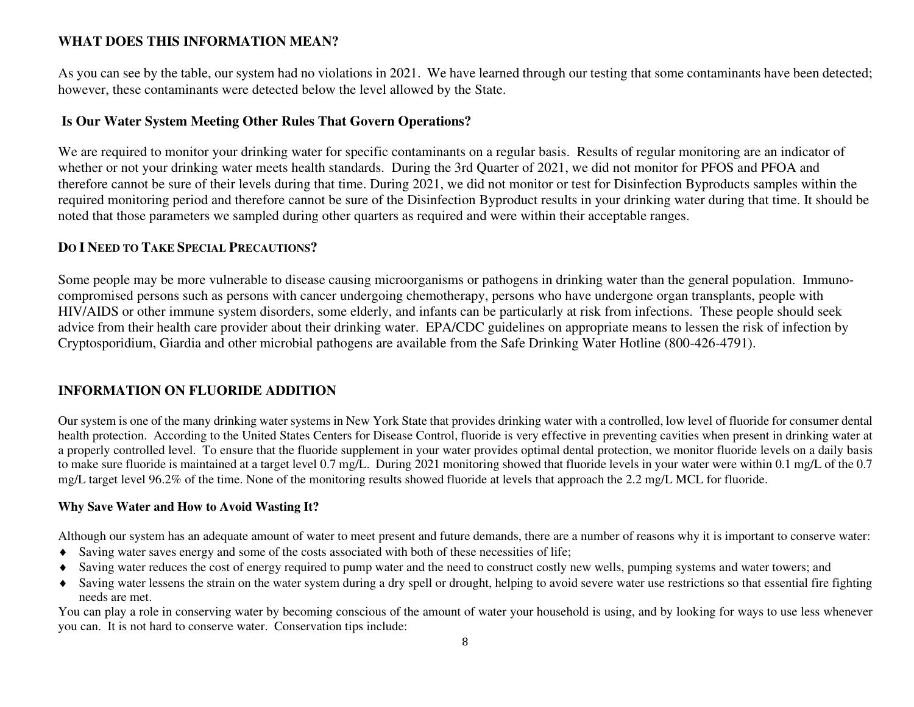# **WHAT DOES THIS INFORMATION MEAN?**

As you can see by the table, our system had no violations in 2021. We have learned through our testing that some contaminants have been detected; however, these contaminants were detected below the level allowed by the State.

## **Is Our Water System Meeting Other Rules That Govern Operations?**

We are required to monitor your drinking water for specific contaminants on a regular basis. Results of regular monitoring are an indicator of whether or not your drinking water meets health standards. During the 3rd Quarter of 2021, we did not monitor for PFOS and PFOA and therefore cannot be sure of their levels during that time. During 2021, we did not monitor or test for Disinfection Byproducts samples within the required monitoring period and therefore cannot be sure of the Disinfection Byproduct results in your drinking water during that time. It should be noted that those parameters we sampled during other quarters as required and were within their acceptable ranges.

## **DO I NEED TO TAKE SPECIAL PRECAUTIONS?**

Some people may be more vulnerable to disease causing microorganisms or pathogens in drinking water than the general population. Immunocompromised persons such as persons with cancer undergoing chemotherapy, persons who have undergone organ transplants, people with HIV/AIDS or other immune system disorders, some elderly, and infants can be particularly at risk from infections. These people should seek advice from their health care provider about their drinking water. EPA/CDC guidelines on appropriate means to lessen the risk of infection by Cryptosporidium, Giardia and other microbial pathogens are available from the Safe Drinking Water Hotline (800-426-4791).

# **INFORMATION ON FLUORIDE ADDITION**

Our system is one of the many drinking water systems in New York State that provides drinking water with a controlled, low level of fluoride for consumer dental health protection. According to the United States Centers for Disease Control, fluoride is very effective in preventing cavities when present in drinking water at a properly controlled level. To ensure that the fluoride supplement in your water provides optimal dental protection, we monitor fluoride levels on a daily basis to make sure fluoride is maintained at a target level 0.7 mg/L. During 2021 monitoring showed that fluoride levels in your water were within 0.1 mg/L of the 0.7 mg/L target level 96.2% of the time. None of the monitoring results showed fluoride at levels that approach the 2.2 mg/L MCL for fluoride.

#### **Why Save Water and How to Avoid Wasting It?**

Although our system has an adequate amount of water to meet present and future demands, there are a number of reasons why it is important to conserve water:

- Saving water saves energy and some of the costs associated with both of these necessities of life;
- Saving water reduces the cost of energy required to pump water and the need to construct costly new wells, pumping systems and water towers; and
- Saving water lessens the strain on the water system during a dry spell or drought, helping to avoid severe water use restrictions so that essential fire fighting needs are met.

You can play a role in conserving water by becoming conscious of the amount of water your household is using, and by looking for ways to use less whenever you can. It is not hard to conserve water. Conservation tips include: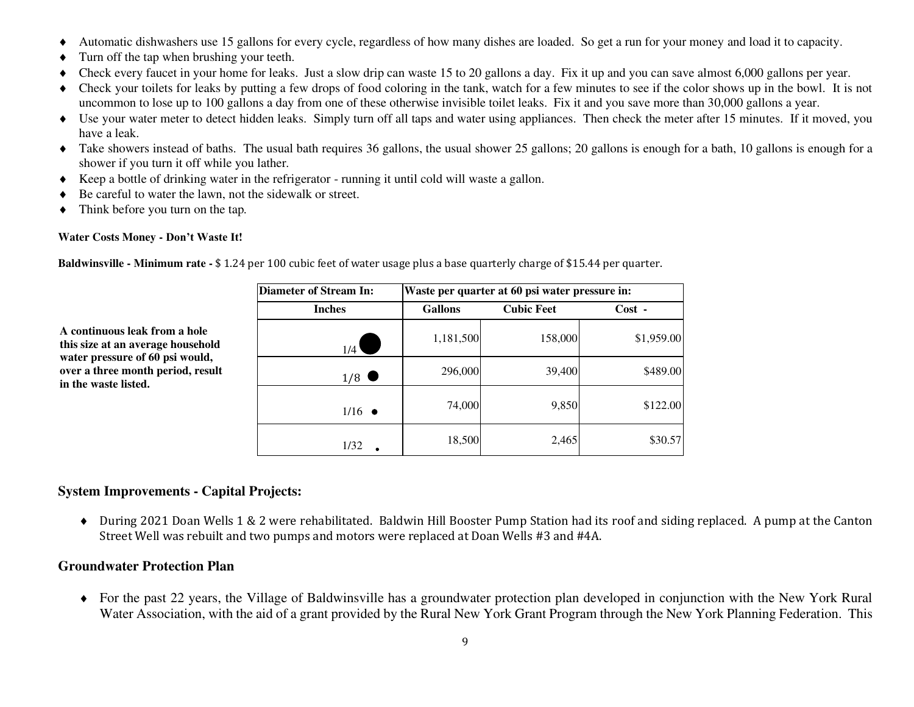- Automatic dishwashers use 15 gallons for every cycle, regardless of how many dishes are loaded. So get a run for your money and load it to capacity.
- Turn off the tap when brushing your teeth.
- Check every faucet in your home for leaks. Just a slow drip can waste 15 to 20 gallons a day. Fix it up and you can save almost 6,000 gallons per year.
- Check your toilets for leaks by putting a few drops of food coloring in the tank, watch for a few minutes to see if the color shows up in the bowl. It is not uncommon to lose up to 100 gallons a day from one of these otherwise invisible toilet leaks. Fix it and you save more than 30,000 gallons a year.
- Use your water meter to detect hidden leaks. Simply turn off all taps and water using appliances. Then check the meter after 15 minutes. If it moved, you have a leak.
- Take showers instead of baths. The usual bath requires 36 gallons, the usual shower 25 gallons; 20 gallons is enough for a bath, 10 gallons is enough for a shower if you turn it off while you lather*.*
- Keep a bottle of drinking water in the refrigerator running it until cold will waste a gallon.
- ◆ Be careful to water the lawn, not the sidewalk or street.
- Think before you turn on the tap*.*

#### **Water Costs Money - Don't Waste It!**

**A continuous leak from a hole this size at an average household water pressure of 60 psi would, over a three month period, result** 

**in the waste listed.**

**Baldwinsville - Minimum rate -** \$ 1.24 per 100 cubic feet of water usage plus a base quarterly charge of \$15.44 per quarter.

| Diameter of Stream In: |                | Waste per quarter at 60 psi water pressure in: |            |  |  |  |  |  |
|------------------------|----------------|------------------------------------------------|------------|--|--|--|--|--|
| <b>Inches</b>          | <b>Gallons</b> | <b>Cubic Feet</b>                              | $Cost -$   |  |  |  |  |  |
| 1/4                    | 1,181,500      | 158,000                                        | \$1,959.00 |  |  |  |  |  |
| 1/8                    | 296,000        | 39,400                                         | \$489.00   |  |  |  |  |  |
| $1/16$ $\bullet$       | 74,000         | 9,850                                          | \$122.00   |  |  |  |  |  |
| 1/32                   | 18,500         | 2,465                                          | \$30.57    |  |  |  |  |  |

## **System Improvements - Capital Projects:**

 During 2021 Doan Wells 1 & 2 were rehabilitated. Baldwin Hill Booster Pump Station had its roof and siding replaced. A pump at the Canton Street Well was rebuilt and two pumps and motors were replaced at Doan Wells #3 and #4A.

## **Groundwater Protection Plan**

 For the past 22 years, the Village of Baldwinsville has a groundwater protection plan developed in conjunction with the New York Rural Water Association, with the aid of a grant provided by the Rural New York Grant Program through the New York Planning Federation. This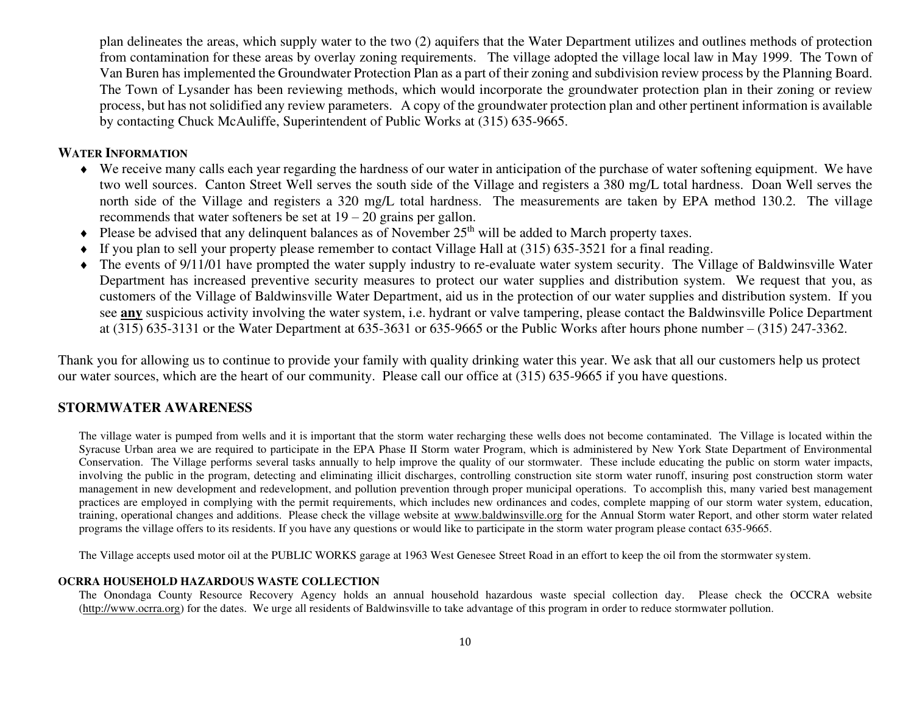plan delineates the areas, which supply water to the two (2) aquifers that the Water Department utilizes and outlines methods of protection from contamination for these areas by overlay zoning requirements. The village adopted the village local law in May 1999. The Town of Van Buren has implemented the Groundwater Protection Plan as a part of their zoning and subdivision review process by the Planning Board. The Town of Lysander has been reviewing methods, which would incorporate the groundwater protection plan in their zoning or review process, but has not solidified any review parameters. A copy of the groundwater protection plan and other pertinent information is available by contacting Chuck McAuliffe, Superintendent of Public Works at (315) 635-9665.

#### **WATER INFORMATION**

- We receive many calls each year regarding the hardness of our water in anticipation of the purchase of water softening equipment. We have two well sources. Canton Street Well serves the south side of the Village and registers a 380 mg/L total hardness. Doan Well serves the north side of the Village and registers a 320 mg/L total hardness. The measurements are taken by EPA method 130.2. The village recommends that water softeners be set at  $19 - 20$  grains per gallon.
- $\bullet$  Please be advised that any delinquent balances as of November 25<sup>th</sup> will be added to March property taxes.
- If you plan to sell your property please remember to contact Village Hall at (315) 635-3521 for a final reading.
- The events of 9/11/01 have prompted the water supply industry to re-evaluate water system security. The Village of Baldwinsville Water Department has increased preventive security measures to protect our water supplies and distribution system. We request that you, as customers of the Village of Baldwinsville Water Department, aid us in the protection of our water supplies and distribution system. If you see **any** suspicious activity involving the water system, i.e. hydrant or valve tampering, please contact the Baldwinsville Police Department at (315) 635-3131 or the Water Department at 635-3631 or 635-9665 or the Public Works after hours phone number – (315) 247-3362.

Thank you for allowing us to continue to provide your family with quality drinking water this year. We ask that all our customers help us protect our water sources, which are the heart of our community. Please call our office at (315) 635-9665 if you have questions.

#### **STORMWATER AWARENESS**

The village water is pumped from wells and it is important that the storm water recharging these wells does not become contaminated. The Village is located within the Syracuse Urban area we are required to participate in the EPA Phase II Storm water Program, which is administered by New York State Department of Environmental Conservation. The Village performs several tasks annually to help improve the quality of our stormwater. These include educating the public on storm water impacts, involving the public in the program, detecting and eliminating illicit discharges, controlling construction site storm water runoff, insuring post construction storm water management in new development and redevelopment, and pollution prevention through proper municipal operations. To accomplish this, many varied best management practices are employed in complying with the permit requirements, which includes new ordinances and codes, complete mapping of our storm water system, education, training, operational changes and additions. Please check the village website at [www.baldwinsville.org](http://www.baldwinsville.org/) for the Annual Storm water Report, and other storm water related programs the village offers to its residents. If you have any questions or would like to participate in the storm water program please contact 635-9665.

The Village accepts used motor oil at the PUBLIC WORKS garage at 1963 West Genesee Street Road in an effort to keep the oil from the stormwater system.

#### **OCRRA HOUSEHOLD HAZARDOUS WASTE COLLECTION**

The Onondaga County Resource Recovery Agency holds an annual household hazardous waste special collection day. Please check the OCCRA website [\(http://www.ocrra.org\)](http://www.ocrra.org/) for the dates. We urge all residents of Baldwinsville to take advantage of this program in order to reduce stormwater pollution.